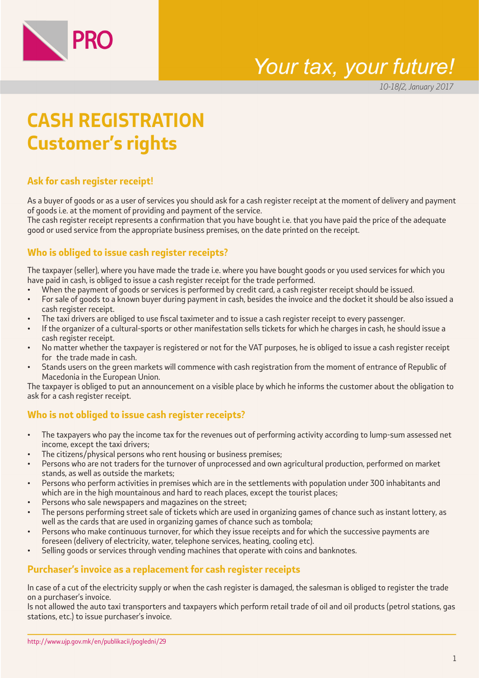

# Your tax, your future!

10-18/2, January 2017

# **CASH REGISTRATION Customer's rights**

## **Ask for cash register receipt!**

As a buyer of goods or as a user of services you should ask for a cash register receipt at the moment of delivery and payment of goods i.e. at the moment of providing and payment of the service.

The cash register receipt represents a confirmation that you have bought i.e. that you have paid the price of the adequate good or used service from the appropriate business premises, on the date printed on the receipt.

## **Who is obliged to issue cash register receipts?**

The taxpayer (seller), where you have made the trade i.e. where you have bought goods or you used services for which you have paid in cash, is obliged to issue a cash register receipt for the trade performed.

- When the payment of goods or services is performed by credit card, a cash register receipt should be issued.
- For sale of goods to a known buyer during payment in cash, besides the invoice and the docket it should be also issued a cash register receipt.
- The taxi drivers are obliged to use fiscal taximeter and to issue a cash register receipt to every passenger.
- If the organizer of a cultural-sports or other manifestation sells tickets for which he charges in cash, he should issue a cash register receipt.
- No matter whether the taxpayer is registered or not for the VAT purposes, he is obliged to issue a cash register receipt for the trade made in cash.
- Stands users on the green markets will commence with cash registration from the moment of entrance of Republic of Macedonia in the European Union.

The taxpayer is obliged to put an announcement on a visible place by which he informs the customer about the obligation to ask for a cash register receipt.

### **Who is not obliged to issue cash register receipts?**

- The taxpayers who pay the income tax for the revenues out of performing activity according to lump-sum assessed net income, except the taxi drivers;
- The citizens/physical persons who rent housing or business premises;
- Persons who are not traders for the turnover of unprocessed and own agricultural production, performed on market stands, as well as outside the markets;
- Persons who perform activities in premises which are in the settlements with population under 300 inhabitants and which are in the high mountainous and hard to reach places, except the tourist places;
- Persons who sale newspapers and magazines on the street;
- The persons performing street sale of tickets which are used in organizing games of chance such as instant lottery, as well as the cards that are used in organizing games of chance such as tombola;
- Persons who make continuous turnover, for which they issue receipts and for which the successive payments are foreseen (delivery of electricity, water, telephone services, heating, cooling etc).
- Selling goods or services through vending machines that operate with coins and banknotes.

#### **Purchaser's invoice as a replacement for cash register receipts**

In case of a cut of the electricity supply or when the cash register is damaged, the salesman is obliged to register the trade on a purchaser's invoice.

Is not allowed the auto taxi transporters and taxpayers which perform retail trade of oil and oil products (petrol stations, gas stations, etc.) to issue purchaser's invoice.